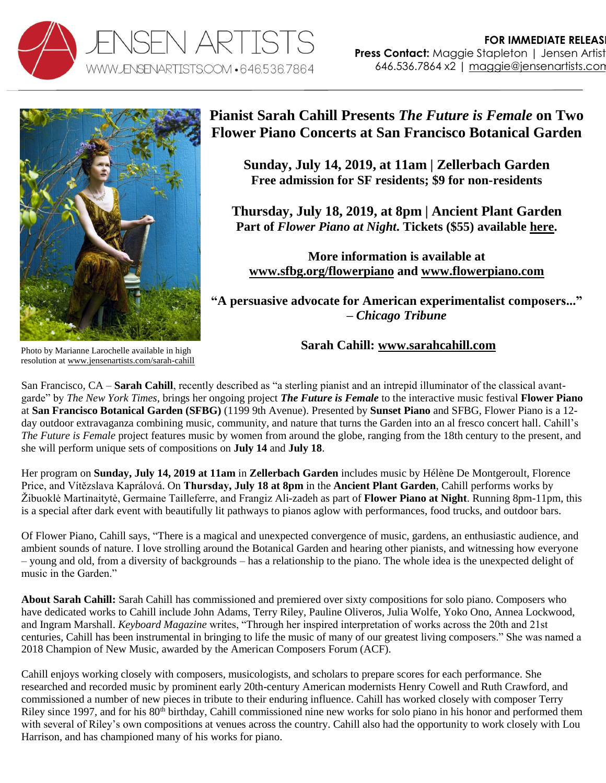



## **Pianist Sarah Cahill Presents** *The Future is Female* **on Two Flower Piano Concerts at San Francisco Botanical Garden**

**Sunday, July 14, 2019, at 11am | Zellerbach Garden Free admission for SF residents; \$9 for non-residents**

**Thursday, July 18, 2019, at 8pm | Ancient Plant Garden Part of** *Flower Piano at Night***. Tickets (\$55) available [here.](https://www.eventbrite.com/e/flower-piano-at-night-tickets-61116274422)**

**More information is available at [www.sfbg.org/flowerpiano](http://www.sfbg.org/flowerpiano) and [www.flowerpiano.com](http://www.flowerpiano.com/)**

**"A persuasive advocate for American experimentalist composers..." –** *Chicago Tribune*

## **Sarah Cahill: [www.sarahcahill.com](http://www.sarahcahill.com/)**

Photo by Marianne Larochelle available in high resolution a[t www.jensenartists.com/sarah-cahill](http://www.jensenartists.com/sarah-cahill)

San Francisco, CA – **Sarah Cahill**, recently described as "a sterling pianist and an intrepid illuminator of the classical avantgarde" by *The New York Times*, brings her ongoing project *The Future is Female* to the interactive music festival **Flower Piano** at **San Francisco Botanical Garden (SFBG)** (1199 9th Avenue). Presented by **Sunset Piano** and SFBG, Flower Piano is a 12 day outdoor extravaganza combining music, community, and nature that turns the Garden into an al fresco concert hall. Cahill's *The Future is Female* project features music by women from around the globe, ranging from the 18th century to the present, and she will perform unique sets of compositions on **July 14** and **July 18**.

Her program on **Sunday, July 14, 2019 at 11am** in **Zellerbach Garden** includes music by Hélène De Montgeroult, Florence Price, and Vítězslava Kaprálová. On **Thursday, July 18 at 8pm** in the **Ancient Plant Garden**, Cahill performs works by Žibuoklė Martinaitytė, Germaine Tailleferre, and Frangiz Ali-zadeh as part of **Flower Piano at Night**. Running 8pm-11pm, this is a special after dark event with beautifully lit pathways to pianos aglow with performances, food trucks, and outdoor bars.

Of Flower Piano, Cahill says, "There is a magical and unexpected convergence of music, gardens, an enthusiastic audience, and ambient sounds of nature. I love strolling around the Botanical Garden and hearing other pianists, and witnessing how everyone – young and old, from a diversity of backgrounds – has a relationship to the piano. The whole idea is the unexpected delight of music in the Garden."

**About Sarah Cahill:** Sarah Cahill has commissioned and premiered over sixty compositions for solo piano. Composers who have dedicated works to Cahill include John Adams, Terry Riley, Pauline Oliveros, Julia Wolfe, Yoko Ono, Annea Lockwood, and Ingram Marshall. *Keyboard Magazine* writes, "Through her inspired interpretation of works across the 20th and 21st centuries, Cahill has been instrumental in bringing to life the music of many of our greatest living composers." She was named a 2018 Champion of New Music, awarded by the American Composers Forum (ACF).

Cahill enjoys working closely with composers, musicologists, and scholars to prepare scores for each performance. She researched and recorded music by prominent early 20th-century American modernists Henry Cowell and Ruth Crawford, and commissioned a number of new pieces in tribute to their enduring influence. Cahill has worked closely with composer Terry Riley since 1997, and for his 80<sup>th</sup> birthday, Cahill commissioned nine new works for solo piano in his honor and performed them with several of Riley's own compositions at venues across the country. Cahill also had the opportunity to work closely with Lou Harrison, and has championed many of his works for piano.